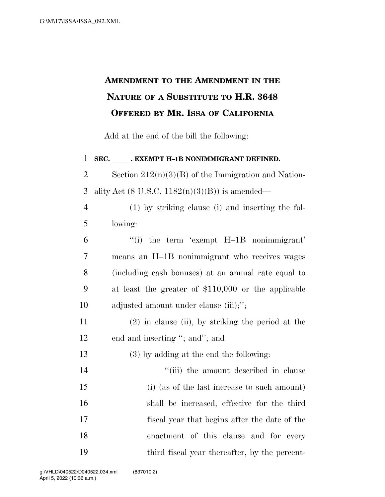## **AMENDMENT TO THE AMENDMENT IN THE NATURE OF A SUBSTITUTE TO H.R. 3648 OFFERED BY MR. ISSA OF CALIFORNIA**

Add at the end of the bill the following:

1 SEC. **. EXEMPT H-1B NONIMMIGRANT DEFINED.** 2 Section  $212(n)(3)(B)$  of the Immigration and Nation-3 ality Act (8 U.S.C.  $1182(n)(3)(B)$ ) is amended— (1) by striking clause (i) and inserting the fol-5 lowing: ''(i) the term 'exempt H–1B nonimmigrant' means an H–1B nonimmigrant who receives wages (including cash bonuses) at an annual rate equal to at least the greater of \$110,000 or the applicable 10 adjusted amount under clause (iii);"; (2) in clause (ii), by striking the period at the 12 end and inserting "; and"; and (3) by adding at the end the following:  $\frac{1}{2}$   $\frac{1}{2}$   $\frac{1}{2}$  the amount described in clause (i) (as of the last increase to such amount) shall be increased, effective for the third fiscal year that begins after the date of the enactment of this clause and for every third fiscal year thereafter, by the percent-